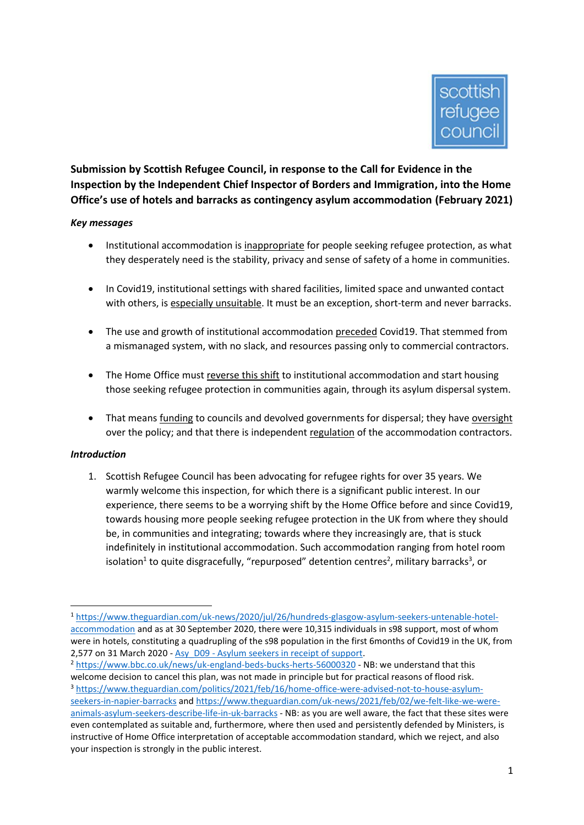

**Submission by Scottish Refugee Council, in response to the Call for Evidence in the Inspection by the Independent Chief Inspector of Borders and Immigration, into the Home Office's use of hotels and barracks as contingency asylum accommodation (February 2021)**

### *Key messages*

- Institutional accommodation is inappropriate for people seeking refugee protection, as what they desperately need is the stability, privacy and sense of safety of a home in communities.
- In Covid19, institutional settings with shared facilities, limited space and unwanted contact with others, is especially unsuitable. It must be an exception, short-term and never barracks.
- The use and growth of institutional accommodation preceded Covid19. That stemmed from a mismanaged system, with no slack, and resources passing only to commercial contractors.
- The Home Office must reverse this shift to institutional accommodation and start housing those seeking refugee protection in communities again, through its asylum dispersal system.
- That means funding to councils and devolved governments for dispersal; they have oversight over the policy; and that there is independent regulation of the accommodation contractors.

### *Introduction*

**.** 

1. Scottish Refugee Council has been advocating for refugee rights for over 35 years. We warmly welcome this inspection, for which there is a significant public interest. In our experience, there seems to be a worrying shift by the Home Office before and since Covid19, towards housing more people seeking refugee protection in the UK from where they should be, in communities and integrating; towards where they increasingly are, that is stuck indefinitely in institutional accommodation. Such accommodation ranging from hotel room isolation<sup>1</sup> to quite disgracefully, "repurposed" detention centres<sup>2</sup>, military barracks<sup>3</sup>, or

<sup>1</sup> [https://www.theguardian.com/uk-news/2020/jul/26/hundreds-glasgow-asylum-seekers-untenable-hotel](https://www.theguardian.com/uk-news/2020/jul/26/hundreds-glasgow-asylum-seekers-untenable-hotel-accommodation)[accommodation](https://www.theguardian.com/uk-news/2020/jul/26/hundreds-glasgow-asylum-seekers-untenable-hotel-accommodation) and as at 30 September 2020, there were 10,315 individuals in s98 support, most of whom were in hotels, constituting a quadrupling of the s98 population in the first 6months of Covid19 in the UK, from 2,577 on 31 March 2020 - Asy\_D09 - [Asylum seekers in receipt of support.](https://www.gov.uk/government/statistical-data-sets/asylum-and-resettlement-datasets#asylum-support)

<sup>2</sup> <https://www.bbc.co.uk/news/uk-england-beds-bucks-herts-56000320> - NB: we understand that this welcome decision to cancel this plan, was not made in principle but for practical reasons of flood risk. <sup>3</sup> [https://www.theguardian.com/politics/2021/feb/16/home-office-were-advised-not-to-house-asylum](https://www.theguardian.com/politics/2021/feb/16/home-office-were-advised-not-to-house-asylum-seekers-in-napier-barracks)[seekers-in-napier-barracks](https://www.theguardian.com/politics/2021/feb/16/home-office-were-advised-not-to-house-asylum-seekers-in-napier-barracks) and [https://www.theguardian.com/uk-news/2021/feb/02/we-felt-like-we-were](https://www.theguardian.com/uk-news/2021/feb/02/we-felt-like-we-were-animals-asylum-seekers-describe-life-in-uk-barracks)[animals-asylum-seekers-describe-life-in-uk-barracks](https://www.theguardian.com/uk-news/2021/feb/02/we-felt-like-we-were-animals-asylum-seekers-describe-life-in-uk-barracks) - NB: as you are well aware, the fact that these sites were even contemplated as suitable and, furthermore, where then used and persistently defended by Ministers, is instructive of Home Office interpretation of acceptable accommodation standard, which we reject, and also your inspection is strongly in the public interest.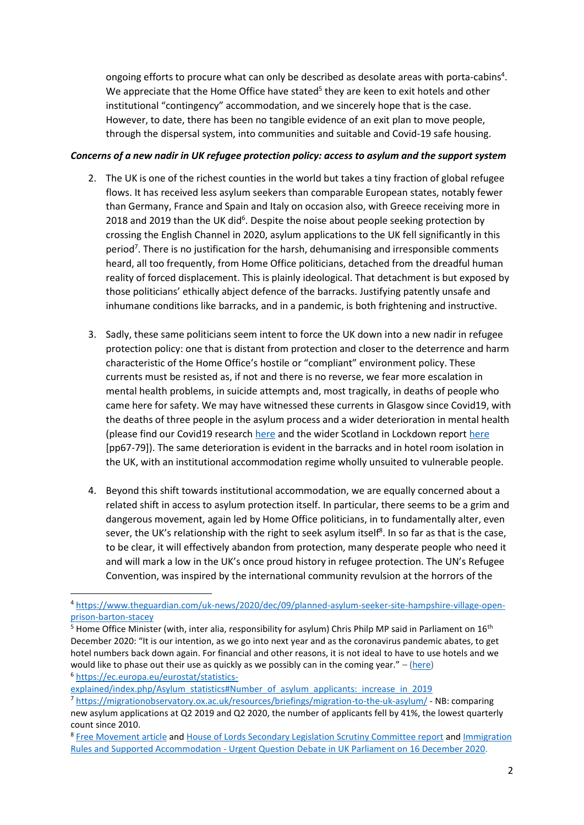ongoing efforts to procure what can only be described as desolate areas with porta-cabins<sup>4</sup>. We appreciate that the Home Office have stated<sup>5</sup> they are keen to exit hotels and other institutional "contingency" accommodation, and we sincerely hope that is the case. However, to date, there has been no tangible evidence of an exit plan to move people, through the dispersal system, into communities and suitable and Covid-19 safe housing.

## *Concerns of a new nadir in UK refugee protection policy: access to asylum and the support system*

- 2. The UK is one of the richest counties in the world but takes a tiny fraction of global refugee flows. It has received less asylum seekers than comparable European states, notably fewer than Germany, France and Spain and Italy on occasion also, with Greece receiving more in 2018 and 2019 than the UK did<sup>6</sup>. Despite the noise about people seeking protection by crossing the English Channel in 2020, asylum applications to the UK fell significantly in this period<sup>7</sup>. There is no justification for the harsh, dehumanising and irresponsible comments heard, all too frequently, from Home Office politicians, detached from the dreadful human reality of forced displacement. This is plainly ideological. That detachment is but exposed by those politicians' ethically abject defence of the barracks. Justifying patently unsafe and inhumane conditions like barracks, and in a pandemic, is both frightening and instructive.
- 3. Sadly, these same politicians seem intent to force the UK down into a new nadir in refugee protection policy: one that is distant from protection and closer to the deterrence and harm characteristic of the Home Office's hostile or "compliant" environment policy. These currents must be resisted as, if not and there is no reverse, we fear more escalation in mental health problems, in suicide attempts and, most tragically, in deaths of people who came here for safety. We may have witnessed these currents in Glasgow since Covid19, with the deaths of three people in the asylum process and a wider deterioration in mental health (please find our Covid19 research [here](https://www.scottishrefugeecouncil.org.uk/wp-content/uploads/2020/09/Covid-impact-survey.pdf) and the wider Scotland in Lockdown report [here](https://scotlandinlockdown.files.wordpress.com/2020/12/scotlock_project_report_full_dec2020-2.pdf) [pp67-79]). The same deterioration is evident in the barracks and in hotel room isolation in the UK, with an institutional accommodation regime wholly unsuited to vulnerable people.
- 4. Beyond this shift towards institutional accommodation, we are equally concerned about a related shift in access to asylum protection itself. In particular, there seems to be a grim and dangerous movement, again led by Home Office politicians, in to fundamentally alter, even sever, the UK's relationship with the right to seek asylum itself<sup>8</sup>. In so far as that is the case, to be clear, it will effectively abandon from protection, many desperate people who need it and will mark a low in the UK's once proud history in refugee protection. The UN's Refugee Convention, was inspired by the international community revulsion at the horrors of the

[explained/index.php/Asylum\\_statistics#Number\\_of\\_asylum\\_applicants:\\_increase\\_in\\_2019](https://ec.europa.eu/eurostat/statistics-explained/index.php/Asylum_statistics#Number_of_asylum_applicants:_increase_in_2019)

1

<sup>4</sup> [https://www.theguardian.com/uk-news/2020/dec/09/planned-asylum-seeker-site-hampshire-village-open](https://www.theguardian.com/uk-news/2020/dec/09/planned-asylum-seeker-site-hampshire-village-open-prison-barton-stacey)[prison-barton-stacey](https://www.theguardian.com/uk-news/2020/dec/09/planned-asylum-seeker-site-hampshire-village-open-prison-barton-stacey)

 $5$  Home Office Minister (with, inter alia, responsibility for asylum) Chris Philp MP said in Parliament on 16<sup>th</sup> December 2020: "It is our intention, as we go into next year and as the coronavirus pandemic abates, to get hotel numbers back down again. For financial and other reasons, it is not ideal to have to use hotels and we would like to phase out their use as quickly as we possibly can in the coming year."  $-$  [\(here\)](https://hansard.parliament.uk/Commons/2020-12-16/debates/06EA3DD8-026C-4AAF-BCBA-60F1B5D2E3F6/ImmigrationRulesSupportedAccommodation) <sup>6</sup> [https://ec.europa.eu/eurostat/statistics-](https://ec.europa.eu/eurostat/statistics-explained/index.php/Asylum_statistics#Number_of_asylum_applicants:_increase_in_2019)

<sup>7</sup> <https://migrationobservatory.ox.ac.uk/resources/briefings/migration-to-the-uk-asylum/> - NB: comparing new asylum applications at Q2 2019 and Q2 2020, the number of applicants fell by 41%, the lowest quarterly count since 2010.

<sup>&</sup>lt;sup>8</sup> [Free Movement article](https://www.freemovement.org.uk/briefing-new-uk-approach-to-refugees-and-safe-third-countries/#When_might_claims_be_considered_for_inadmissibility) and [House of Lords Secondary Legislation Scrutiny Committee report](https://committees.parliament.uk/committee/255/secondary-legislation-scrutiny-committee/news/138281/concerns-about-supporting-documentation-for-changes-to-asylum-process/) and Immigration Rules and Supported Accommodation - [Urgent Question Debate in UK Parliament on 16 December 2020.](https://hansard.parliament.uk/Commons/2020-12-16/debates/06EA3DD8-026C-4AAF-BCBA-60F1B5D2E3F6/ImmigrationRulesSupportedAccommodation)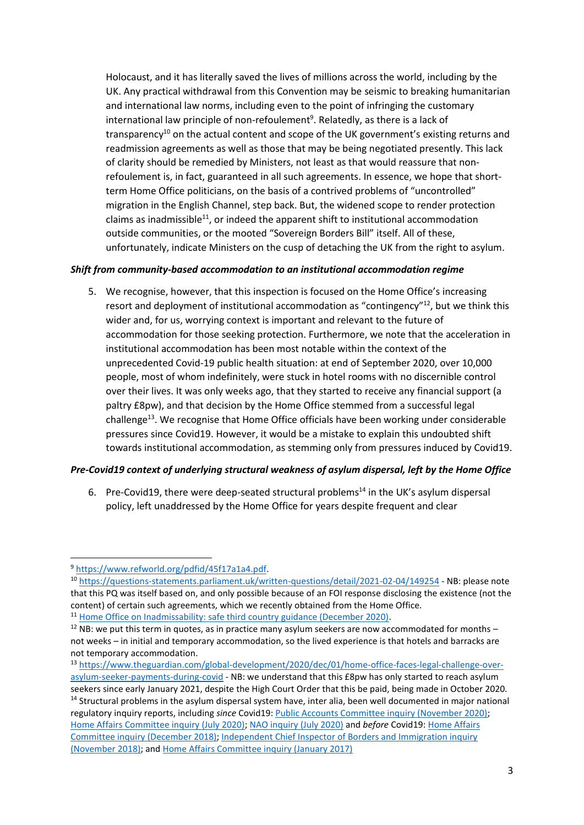Holocaust, and it has literally saved the lives of millions across the world, including by the UK. Any practical withdrawal from this Convention may be seismic to breaking humanitarian and international law norms, including even to the point of infringing the customary international law principle of non-refoulement<sup>9</sup>. Relatedly, as there is a lack of transparency<sup>10</sup> on the actual content and scope of the UK government's existing returns and readmission agreements as well as those that may be being negotiated presently. This lack of clarity should be remedied by Ministers, not least as that would reassure that nonrefoulement is, in fact, guaranteed in all such agreements. In essence, we hope that shortterm Home Office politicians, on the basis of a contrived problems of "uncontrolled" migration in the English Channel, step back. But, the widened scope to render protection claims as inadmissible<sup>11</sup>, or indeed the apparent shift to institutional accommodation outside communities, or the mooted "Sovereign Borders Bill" itself. All of these, unfortunately, indicate Ministers on the cusp of detaching the UK from the right to asylum.

# *Shift from community-based accommodation to an institutional accommodation regime*

5. We recognise, however, that this inspection is focused on the Home Office's increasing resort and deployment of institutional accommodation as "contingency"<sup>12</sup>, but we think this wider and, for us, worrying context is important and relevant to the future of accommodation for those seeking protection. Furthermore, we note that the acceleration in institutional accommodation has been most notable within the context of the unprecedented Covid-19 public health situation: at end of September 2020, over 10,000 people, most of whom indefinitely, were stuck in hotel rooms with no discernible control over their lives. It was only weeks ago, that they started to receive any financial support (a paltry £8pw), and that decision by the Home Office stemmed from a successful legal challenge<sup>13</sup>. We recognise that Home Office officials have been working under considerable pressures since Covid19. However, it would be a mistake to explain this undoubted shift towards institutional accommodation, as stemming only from pressures induced by Covid19.

### *Pre-Covid19 context of underlying structural weakness of asylum dispersal, left by the Home Office*

6. Pre-Covid19, there were deep-seated structural problems<sup>14</sup> in the UK's asylum dispersal policy, left unaddressed by the Home Office for years despite frequent and clear

<sup>9</sup> [https://www.refworld.org/pdfid/45f17a1a4.pdf.](https://www.refworld.org/pdfid/45f17a1a4.pdf)

<sup>10</sup> <https://questions-statements.parliament.uk/written-questions/detail/2021-02-04/149254> - NB: please note that this PQ was itself based on, and only possible because of an FOI response disclosing the existence (not the content) of certain such agreements, which we recently obtained from the Home Office.

<sup>&</sup>lt;sup>11</sup> [Home Office on Inadmissability: safe third country guidance \(December 2020\).](https://assets.publishing.service.gov.uk/government/uploads/system/uploads/attachment_data/file/947897/inadmissibility-guidance-v5.0ext.pdf)

 $12$  NB: we put this term in quotes, as in practice many asylum seekers are now accommodated for months – not weeks – in initial and temporary accommodation, so the lived experience is that hotels and barracks are not temporary accommodation.

<sup>13</sup> [https://www.theguardian.com/global-development/2020/dec/01/home-office-faces-legal-challenge-over](https://www.theguardian.com/global-development/2020/dec/01/home-office-faces-legal-challenge-over-asylum-seeker-payments-during-covid)[asylum-seeker-payments-during-covid](https://www.theguardian.com/global-development/2020/dec/01/home-office-faces-legal-challenge-over-asylum-seeker-payments-during-covid) - NB: we understand that this £8pw has only started to reach asylum seekers since early January 2021, despite the High Court Order that this be paid, being made in October 2020. <sup>14</sup> Structural problems in the asylum dispersal system have, inter alia, been well documented in major national regulatory inquiry reports, including *since* Covid19: [Public Accounts Committee inquiry \(November 2020\);](https://publications.parliament.uk/pa/cm5801/cmselect/cmpubacc/683/68302.htm) [Home Affairs Committee inquiry \(July 2020\);](https://publications.parliament.uk/pa/cm5801/cmselect/cmhaff/562/56202.htm) [NAO inquiry \(July 2020\)](https://www.nao.org.uk/wp-content/uploads/2020/07/Asylum-accommodation-and-support.pdf) and *before* Covid19: [Home Affairs](https://www.parliament.uk/business/committees/committees-a-z/commons-select/home-affairs-committee/news-parliament-2017/asylum-accommodation-report-published-17-19/)  [Committee inquiry \(December 2018\);](https://www.parliament.uk/business/committees/committees-a-z/commons-select/home-affairs-committee/news-parliament-2017/asylum-accommodation-report-published-17-19/) [Independent Chief Inspector of Borders and Immigration inquiry](https://www.gov.uk/government/publications/an-inspection-of-the-home-offices-management-of-asylum-accommodation-provision)  [\(November 2018\);](https://www.gov.uk/government/publications/an-inspection-of-the-home-offices-management-of-asylum-accommodation-provision) and [Home Affairs Committee inquiry \(January 2017\)](https://www.parliament.uk/business/committees/committees-a-z/commons-select/home-affairs-committee/news-parliament-2015/asylum-accommodation-report-published-16-17/)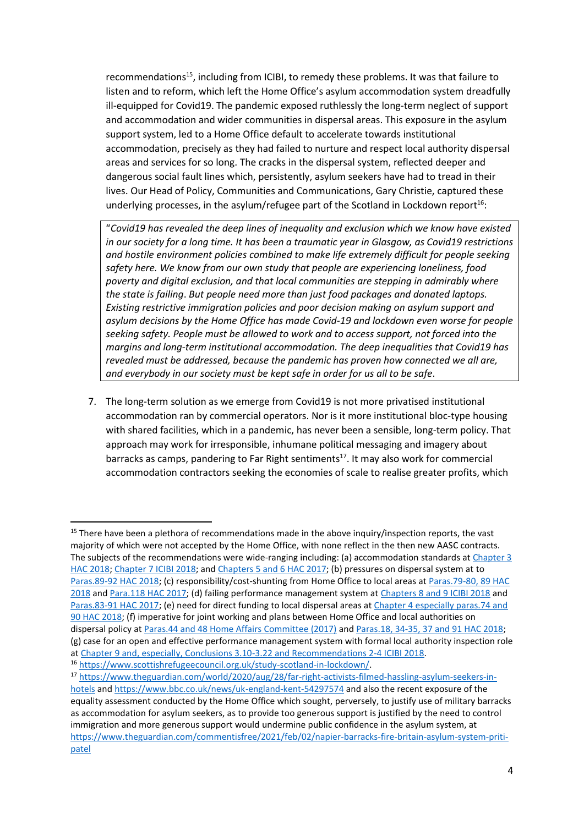recommendations<sup>15</sup>, including from ICIBI, to remedy these problems. It was that failure to listen and to reform, which left the Home Office's asylum accommodation system dreadfully ill-equipped for Covid19. The pandemic exposed ruthlessly the long-term neglect of support and accommodation and wider communities in dispersal areas. This exposure in the asylum support system, led to a Home Office default to accelerate towards institutional accommodation, precisely as they had failed to nurture and respect local authority dispersal areas and services for so long. The cracks in the dispersal system, reflected deeper and dangerous social fault lines which, persistently, asylum seekers have had to tread in their lives. Our Head of Policy, Communities and Communications, Gary Christie, captured these underlying processes, in the asylum/refugee part of the Scotland in Lockdown report<sup>16</sup>:

"*Covid19 has revealed the deep lines of inequality and exclusion which we know have existed in our society for a long time. It has been a traumatic year in Glasgow, as Covid19 restrictions and hostile environment policies combined to make life extremely difficult for people seeking safety here. We know from our own study that people are experiencing loneliness, food poverty and digital exclusion, and that local communities are stepping in admirably where the state is failing*. *But people need more than just food packages and donated laptops. Existing restrictive immigration policies and poor decision making on asylum support and asylum decisions by the Home Office has made Covid-19 and lockdown even worse for people seeking safety. People must be allowed to work and to access support, not forced into the margins and long-term institutional accommodation. The deep inequalities that Covid19 has revealed must be addressed, because the pandemic has proven how connected we all are, and everybody in our society must be kept safe in order for us all to be safe*.

7. The long-term solution as we emerge from Covid19 is not more privatised institutional accommodation ran by commercial operators. Nor is it more institutional bloc-type housing with shared facilities, which in a pandemic, has never been a sensible, long-term policy. That approach may work for irresponsible, inhumane political messaging and imagery about barracks as camps, pandering to Far Right sentiments<sup>17</sup>. It may also work for commercial accommodation contractors seeking the economies of scale to realise greater profits, which

<sup>&</sup>lt;sup>15</sup> There have been a plethora of recommendations made in the above inquiry/inspection reports, the vast majority of which were not accepted by the Home Office, with none reflect in the then new AASC contracts. The subjects of the recommendations were wide-ranging including: (a) accommodation standards at [Chapter 3](https://publications.parliament.uk/pa/cm201719/cmselect/cmhaff/1758/175806.htm)  [HAC 2018;](https://publications.parliament.uk/pa/cm201719/cmselect/cmhaff/1758/175806.htm) Chapter 7 [ICIBI 2018;](https://assets.publishing.service.gov.uk/government/uploads/system/uploads/attachment_data/file/757285/ICIBI_An_inspection_of_the_HO_management_of_asylum_accommodation.pdf) and [Chapters 5 and 6 HAC 2017;](https://publications.parliament.uk/pa/cm201617/cmselect/cmhaff/637/63707.htm#_idTextAnchor023) (b) pressures on dispersal system at to [Paras.89-92 HAC 2018;](https://publications.parliament.uk/pa/cm201719/cmselect/cmhaff/1758/175808.htm) (c) responsibility/cost-shunting from Home Office to local areas at [Paras.79-80, 89 HAC](https://publications.parliament.uk/pa/cm201719/cmselect/cmhaff/1758/175807.htm#_idTextAnchor062)  [2018](https://publications.parliament.uk/pa/cm201719/cmselect/cmhaff/1758/175807.htm#_idTextAnchor062) and [Para.118 HAC 2017;](https://publications.parliament.uk/pa/cm201617/cmselect/cmhaff/637/63711.htm) (d) failing performance management system at [Chapters 8 and 9 ICIBI 2018](https://assets.publishing.service.gov.uk/government/uploads/system/uploads/attachment_data/file/757285/ICIBI_An_inspection_of_the_HO_management_of_asylum_accommodation.pdf) and [Paras.83-91 HAC 2017;](https://publications.parliament.uk/pa/cm201617/cmselect/cmhaff/637/63707.htm) (e) need for direct funding to local dispersal areas at [Chapter 4 especially paras.74 and](https://publications.parliament.uk/pa/cm201719/cmselect/cmhaff/1758/175807.htm#_idTextAnchor059)  [90 HAC 2018;](https://publications.parliament.uk/pa/cm201719/cmselect/cmhaff/1758/175807.htm#_idTextAnchor059) (f) imperative for joint working and plans between Home Office and local authorities on dispersal policy at [Paras.44 and 48 Home Affairs Committee \(2017\)](https://publications.parliament.uk/pa/cm201617/cmselect/cmhaff/637/63706.htm#_idTextAnchor016) and [Paras.18, 34-35, 37 and 91 HAC 2018;](https://publications.parliament.uk/pa/cm201719/cmselect/cmhaff/1758/175805.htm#_idTextAnchor010) (g) case for an open and effective performance management system with formal local authority inspection role a[t Chapter 9 and, especially, Conclusions 3.10-3.22 and Recommendations 2-4 ICIBI 2018.](https://assets.publishing.service.gov.uk/government/uploads/system/uploads/attachment_data/file/757285/ICIBI_An_inspection_of_the_HO_management_of_asylum_accommodation.pdf)

<sup>16</sup> [https://www.scottishrefugeecouncil.org.uk/study-scotland-in-lockdown/.](https://www.scottishrefugeecouncil.org.uk/study-scotland-in-lockdown/)

<sup>17</sup> [https://www.theguardian.com/world/2020/aug/28/far-right-activists-filmed-hassling-asylum-seekers-in](https://www.theguardian.com/world/2020/aug/28/far-right-activists-filmed-hassling-asylum-seekers-in-hotels)[hotels](https://www.theguardian.com/world/2020/aug/28/far-right-activists-filmed-hassling-asylum-seekers-in-hotels) and<https://www.bbc.co.uk/news/uk-england-kent-54297574> and also the recent exposure of the equality assessment conducted by the Home Office which sought, perversely, to justify use of military barracks as accommodation for asylum seekers, as to provide too generous support is justified by the need to control immigration and more generous support would undermine public confidence in the asylum system, at [https://www.theguardian.com/commentisfree/2021/feb/02/napier-barracks-fire-britain-asylum-system-priti](https://www.theguardian.com/commentisfree/2021/feb/02/napier-barracks-fire-britain-asylum-system-priti-patel)[patel](https://www.theguardian.com/commentisfree/2021/feb/02/napier-barracks-fire-britain-asylum-system-priti-patel)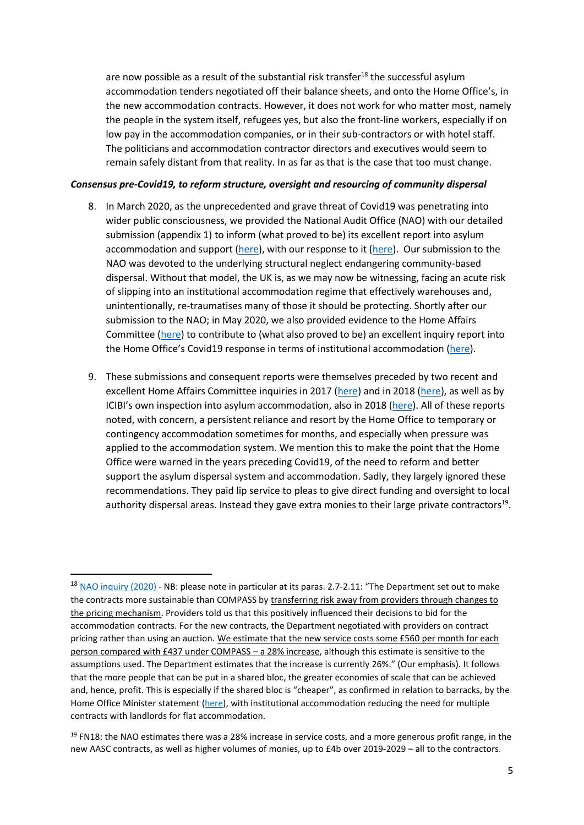are now possible as a result of the substantial risk transfer<sup>18</sup> the successful asylum accommodation tenders negotiated off their balance sheets, and onto the Home Office's, in the new accommodation contracts. However, it does not work for who matter most, namely the people in the system itself, refugees yes, but also the front-line workers, especially if on low pay in the accommodation companies, or in their sub-contractors or with hotel staff. The politicians and accommodation contractor directors and executives would seem to remain safely distant from that reality. In as far as that is the case that too must change.

#### *Consensus pre-Covid19, to reform structure, oversight and resourcing of community dispersal*

- 8. In March 2020, as the unprecedented and grave threat of Covid19 was penetrating into wider public consciousness, we provided the National Audit Office (NAO) with our detailed submission (appendix 1) to inform (what proved to be) its excellent report into asylum accommodation and support [\(here\)](https://www.scottishrefugeecouncil.org.uk/news-nao-report-july-2020/), with our response to it (here). Our submission to the NAO was devoted to the underlying structural neglect endangering community-based dispersal. Without that model, the UK is, as we may now be witnessing, facing an acute risk of slipping into an institutional accommodation regime that effectively warehouses and, unintentionally, re-traumatises many of those it should be protecting. Shortly after our submission to the NAO; in May 2020, we also provided evidence to the Home Affairs Committee [\(here\)](https://committees.parliament.uk/writtenevidence/4002/html/) to contribute to (what also proved to be) an excellent inquiry report into the Home Office's Covid19 response in terms of institutional accommodation [\(here\)](https://publications.parliament.uk/pa/cm5801/cmselect/cmhaff/562/56205.htm).
- 9. These submissions and consequent reports were themselves preceded by two recent and excellent Home Affairs Committee inquiries in 2017 [\(here\)](https://publications.parliament.uk/pa/cm201617/cmselect/cmhaff/637/637.pdf) and in 2018 [\(here\)](https://publications.parliament.uk/pa/cm201719/cmselect/cmhaff/1758/175802.htm), as well as by ICIBI's own inspection into asylum accommodation, also in 2018 [\(here\)](https://assets.publishing.service.gov.uk/government/uploads/system/uploads/attachment_data/file/757285/ICIBI_An_inspection_of_the_HO_management_of_asylum_accommodation.pdf). All of these reports noted, with concern, a persistent reliance and resort by the Home Office to temporary or contingency accommodation sometimes for months, and especially when pressure was applied to the accommodation system. We mention this to make the point that the Home Office were warned in the years preceding Covid19, of the need to reform and better support the asylum dispersal system and accommodation. Sadly, they largely ignored these recommendations. They paid lip service to pleas to give direct funding and oversight to local authority dispersal areas. Instead they gave extra monies to their large private contractors<sup>19</sup>.

<sup>&</sup>lt;sup>18</sup> [NAO inquiry \(2020\)](https://www.nao.org.uk/wp-content/uploads/2020/07/Asylum-accommodation-and-support.pdf) - NB: please note in particular at its paras. 2.7-2.11: "The Department set out to make the contracts more sustainable than COMPASS by transferring risk away from providers through changes to the pricing mechanism. Providers told us that this positively influenced their decisions to bid for the accommodation contracts. For the new contracts, the Department negotiated with providers on contract pricing rather than using an auction. We estimate that the new service costs some £560 per month for each person compared with £437 under COMPASS – a 28% increase, although this estimate is sensitive to the assumptions used. The Department estimates that the increase is currently 26%." (Our emphasis). It follows that the more people that can be put in a shared bloc, the greater economies of scale that can be achieved and, hence, profit. This is especially if the shared bloc is "cheaper", as confirmed in relation to barracks, by the Home Office Minister statement [\(here\)](https://hansard.parliament.uk/commons/2021-02-08/debates/F2E3BFED-B7B5-47C0-8E0D-8BBEB21A179E/AsylumSystemReform), with institutional accommodation reducing the need for multiple contracts with landlords for flat accommodation.

 $19$  FN18: the NAO estimates there was a 28% increase in service costs, and a more generous profit range, in the new AASC contracts, as well as higher volumes of monies, up to £4b over 2019-2029 – all to the contractors.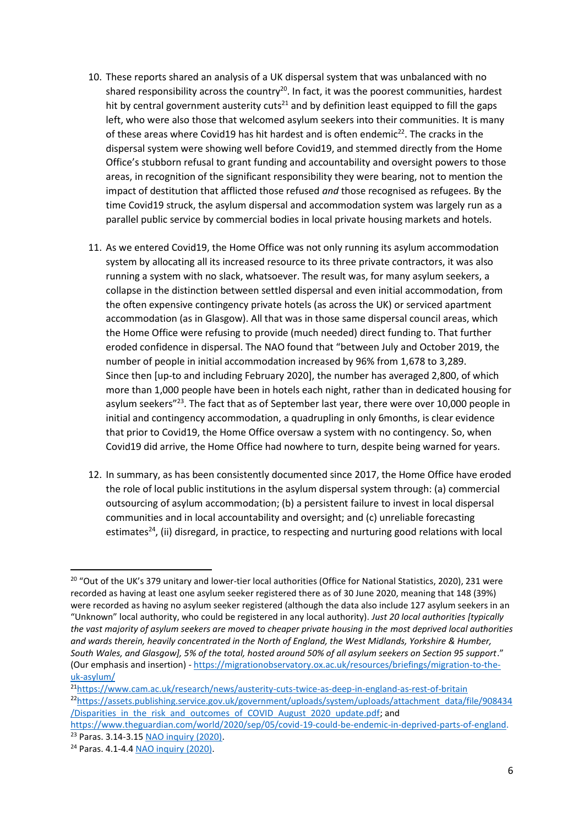- 10. These reports shared an analysis of a UK dispersal system that was unbalanced with no shared responsibility across the country<sup>20</sup>. In fact, it was the poorest communities, hardest hit by central government austerity cuts<sup>21</sup> and by definition least equipped to fill the gaps left, who were also those that welcomed asylum seekers into their communities. It is many of these areas where Covid19 has hit hardest and is often endemic<sup>22</sup>. The cracks in the dispersal system were showing well before Covid19, and stemmed directly from the Home Office's stubborn refusal to grant funding and accountability and oversight powers to those areas, in recognition of the significant responsibility they were bearing, not to mention the impact of destitution that afflicted those refused *and* those recognised as refugees. By the time Covid19 struck, the asylum dispersal and accommodation system was largely run as a parallel public service by commercial bodies in local private housing markets and hotels.
- 11. As we entered Covid19, the Home Office was not only running its asylum accommodation system by allocating all its increased resource to its three private contractors, it was also running a system with no slack, whatsoever. The result was, for many asylum seekers, a collapse in the distinction between settled dispersal and even initial accommodation, from the often expensive contingency private hotels (as across the UK) or serviced apartment accommodation (as in Glasgow). All that was in those same dispersal council areas, which the Home Office were refusing to provide (much needed) direct funding to. That further eroded confidence in dispersal. The NAO found that "between July and October 2019, the number of people in initial accommodation increased by 96% from 1,678 to 3,289. Since then [up-to and including February 2020], the number has averaged 2,800, of which more than 1,000 people have been in hotels each night, rather than in dedicated housing for asylum seekers"<sup>23</sup>. The fact that as of September last year, there were over 10,000 people in initial and contingency accommodation, a quadrupling in only 6months, is clear evidence that prior to Covid19, the Home Office oversaw a system with no contingency. So, when Covid19 did arrive, the Home Office had nowhere to turn, despite being warned for years.
- 12. In summary, as has been consistently documented since 2017, the Home Office have eroded the role of local public institutions in the asylum dispersal system through: (a) commercial outsourcing of asylum accommodation; (b) a persistent failure to invest in local dispersal communities and in local accountability and oversight; and (c) unreliable forecasting estimates<sup>24</sup>, (ii) disregard, in practice, to respecting and nurturing good relations with local

1

<sup>&</sup>lt;sup>20</sup> "Out of the UK's 379 unitary and lower-tier local authorities (Office for National Statistics, 2020), 231 were recorded as having at least one asylum seeker registered there as of 30 June 2020, meaning that 148 (39%) were recorded as having no asylum seeker registered (although the data also include 127 asylum seekers in an "Unknown" local authority, who could be registered in any local authority). *Just 20 local authorities [typically the vast majority of asylum seekers are moved to cheaper private housing in the most deprived local authorities and wards therein, heavily concentrated in the North of England, the West Midlands, Yorkshire & Humber, South Wales, and Glasgow], 5% of the total, hosted around 50% of all asylum seekers on Section 95 support*." (Our emphasis and insertion) - [https://migrationobservatory.ox.ac.uk/resources/briefings/migration-to-the](https://migrationobservatory.ox.ac.uk/resources/briefings/migration-to-the-uk-asylum/)[uk-asylum/](https://migrationobservatory.ox.ac.uk/resources/briefings/migration-to-the-uk-asylum/)

<sup>21</sup><https://www.cam.ac.uk/research/news/austerity-cuts-twice-as-deep-in-england-as-rest-of-britain> <sup>22</sup>[https://assets.publishing.service.gov.uk/government/uploads/system/uploads/attachment\\_data/file/908434](https://assets.publishing.service.gov.uk/government/uploads/system/uploads/attachment_data/file/908434/Disparities_in_the_risk_and_outcomes_of_COVID_August_2020_update.pdf) /Disparities in the risk and outcomes of COVID August 2020 update.pdf; and

[https://www.theguardian.com/world/2020/sep/05/covid-19-could-be-endemic-in-deprived-parts-of-england.](https://www.theguardian.com/world/2020/sep/05/covid-19-could-be-endemic-in-deprived-parts-of-england) <sup>23</sup> Paras. 3.14-3.1[5 NAO inquiry \(2020\).](https://www.nao.org.uk/wp-content/uploads/2020/07/Asylum-accommodation-and-support.pdf)

<sup>24</sup> Paras. 4.1-4.4 [NAO inquiry \(2020\).](https://www.nao.org.uk/wp-content/uploads/2020/07/Asylum-accommodation-and-support.pdf)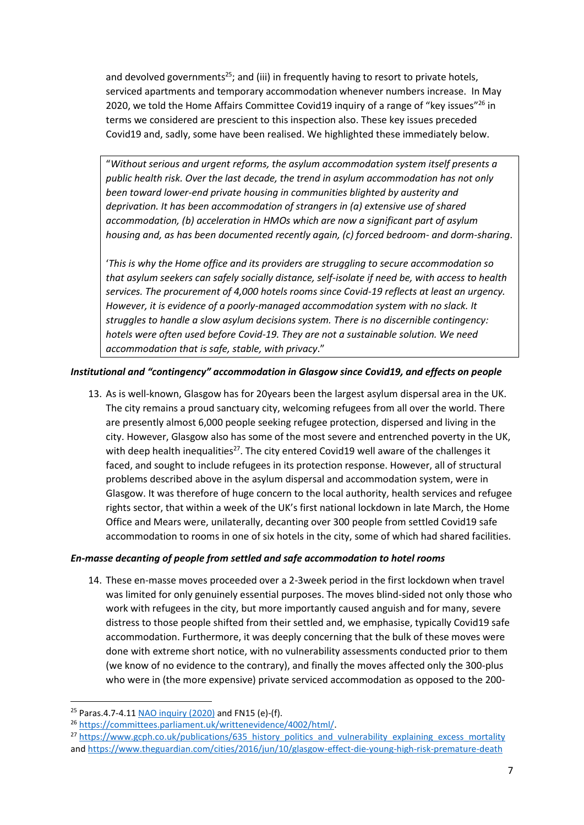and devolved governments<sup>25</sup>; and (iii) in frequently having to resort to private hotels, serviced apartments and temporary accommodation whenever numbers increase. In May 2020, we told the Home Affairs Committee Covid19 inquiry of a range of "key issues"<sup>26</sup> in terms we considered are prescient to this inspection also. These key issues preceded Covid19 and, sadly, some have been realised. We highlighted these immediately below.

"*Without serious and urgent reforms, the asylum accommodation system itself presents a public health risk. Over the last decade, the trend in asylum accommodation has not only been toward lower-end private housing in communities blighted by austerity and deprivation. It has been accommodation of strangers in (a) extensive use of shared accommodation, (b) acceleration in HMOs which are now a significant part of asylum housing and, as has been documented recently again, (c) forced bedroom- and dorm-sharing*.

'*This is why the Home office and its providers are struggling to secure accommodation so that asylum seekers can safely socially distance, self-isolate if need be, with access to health services. The procurement of 4,000 hotels rooms since Covid-19 reflects at least an urgency. However, it is evidence of a poorly-managed accommodation system with no slack. It struggles to handle a slow asylum decisions system. There is no discernible contingency: hotels were often used before Covid-19. They are not a sustainable solution. We need accommodation that is safe, stable, with privacy*."

# *Institutional and "contingency" accommodation in Glasgow since Covid19, and effects on people*

13. As is well-known, Glasgow has for 20years been the largest asylum dispersal area in the UK. The city remains a proud sanctuary city, welcoming refugees from all over the world. There are presently almost 6,000 people seeking refugee protection, dispersed and living in the city. However, Glasgow also has some of the most severe and entrenched poverty in the UK, with deep health inequalities<sup>27</sup>. The city entered Covid19 well aware of the challenges it faced, and sought to include refugees in its protection response. However, all of structural problems described above in the asylum dispersal and accommodation system, were in Glasgow. It was therefore of huge concern to the local authority, health services and refugee rights sector, that within a week of the UK's first national lockdown in late March, the Home Office and Mears were, unilaterally, decanting over 300 people from settled Covid19 safe accommodation to rooms in one of six hotels in the city, some of which had shared facilities.

### *En-masse decanting of people from settled and safe accommodation to hotel rooms*

14. These en-masse moves proceeded over a 2-3week period in the first lockdown when travel was limited for only genuinely essential purposes. The moves blind-sided not only those who work with refugees in the city, but more importantly caused anguish and for many, severe distress to those people shifted from their settled and, we emphasise, typically Covid19 safe accommodation. Furthermore, it was deeply concerning that the bulk of these moves were done with extreme short notice, with no vulnerability assessments conducted prior to them (we know of no evidence to the contrary), and finally the moves affected only the 300-plus who were in (the more expensive) private serviced accommodation as opposed to the 200-

1

<sup>&</sup>lt;sup>25</sup> Paras.4.7-4.11 [NAO inquiry \(2020\)](https://www.nao.org.uk/wp-content/uploads/2020/07/Asylum-accommodation-and-support.pdf) and FN15 (e)-(f).

<sup>26</sup> [https://committees.parliament.uk/writtenevidence/4002/html/.](https://committees.parliament.uk/writtenevidence/4002/html/)

<sup>&</sup>lt;sup>27</sup> [https://www.gcph.co.uk/publications/635\\_history\\_politics\\_and\\_vulnerability\\_explaining\\_excess\\_mortality](https://www.gcph.co.uk/publications/635_history_politics_and_vulnerability_explaining_excess_mortality) an[d https://www.theguardian.com/cities/2016/jun/10/glasgow-effect-die-young-high-risk-premature-death](https://www.theguardian.com/cities/2016/jun/10/glasgow-effect-die-young-high-risk-premature-death)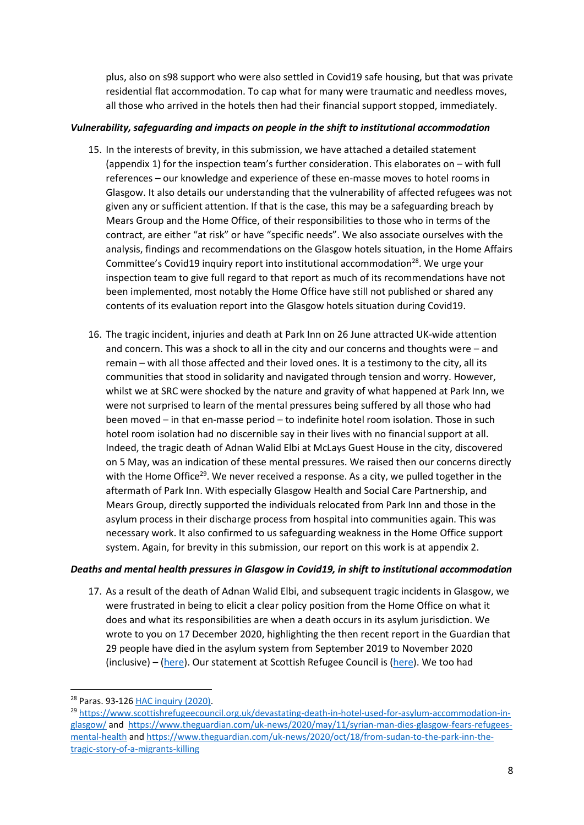plus, also on s98 support who were also settled in Covid19 safe housing, but that was private residential flat accommodation. To cap what for many were traumatic and needless moves, all those who arrived in the hotels then had their financial support stopped, immediately.

# *Vulnerability, safeguarding and impacts on people in the shift to institutional accommodation*

- 15. In the interests of brevity, in this submission, we have attached a detailed statement (appendix 1) for the inspection team's further consideration. This elaborates on – with full references – our knowledge and experience of these en-masse moves to hotel rooms in Glasgow. It also details our understanding that the vulnerability of affected refugees was not given any or sufficient attention. If that is the case, this may be a safeguarding breach by Mears Group and the Home Office, of their responsibilities to those who in terms of the contract, are either "at risk" or have "specific needs". We also associate ourselves with the analysis, findings and recommendations on the Glasgow hotels situation, in the Home Affairs Committee's Covid19 inquiry report into institutional accommodation<sup>28</sup>. We urge your inspection team to give full regard to that report as much of its recommendations have not been implemented, most notably the Home Office have still not published or shared any contents of its evaluation report into the Glasgow hotels situation during Covid19.
- 16. The tragic incident, injuries and death at Park Inn on 26 June attracted UK-wide attention and concern. This was a shock to all in the city and our concerns and thoughts were – and remain – with all those affected and their loved ones. It is a testimony to the city, all its communities that stood in solidarity and navigated through tension and worry. However, whilst we at SRC were shocked by the nature and gravity of what happened at Park Inn, we were not surprised to learn of the mental pressures being suffered by all those who had been moved – in that en-masse period – to indefinite hotel room isolation. Those in such hotel room isolation had no discernible say in their lives with no financial support at all. Indeed, the tragic death of Adnan Walid Elbi at McLays Guest House in the city, discovered on 5 May, was an indication of these mental pressures. We raised then our concerns directly with the Home Office<sup>29</sup>. We never received a response. As a city, we pulled together in the aftermath of Park Inn. With especially Glasgow Health and Social Care Partnership, and Mears Group, directly supported the individuals relocated from Park Inn and those in the asylum process in their discharge process from hospital into communities again. This was necessary work. It also confirmed to us safeguarding weakness in the Home Office support system. Again, for brevity in this submission, our report on this work is at appendix 2.

### *Deaths and mental health pressures in Glasgow in Covid19, in shift to institutional accommodation*

17. As a result of the death of Adnan Walid Elbi, and subsequent tragic incidents in Glasgow, we were frustrated in being to elicit a clear policy position from the Home Office on what it does and what its responsibilities are when a death occurs in its asylum jurisdiction. We wrote to you on 17 December 2020, highlighting the then recent report in the Guardian that 29 people have died in the asylum system from September 2019 to November 2020 (inclusive) – [\(here\)](https://eur01.safelinks.protection.outlook.com/?url=https%3A%2F%2Fwww.theguardian.com%2Fuk-news%2F2020%2Fdec%2F15%2Frevealed-shocking-death-toll-of-asylum-seekers-in-home-office-accommodation&data=04%7C01%7Cdavid.bolt%40icibi.gov.uk%7Cdbe189bb7a164e888ee808d8a22bd997%7Cf24d93ecb2914192a08af182245945c2%7C0%7C0%7C637437657747162976%7CUnknown%7CTWFpbGZsb3d8eyJWIjoiMC4wLjAwMDAiLCJQIjoiV2luMzIiLCJBTiI6Ik1haWwiLCJXVCI6Mn0%3D%7C1000&sdata=RLS34jgWQ6MFUrWWY88hVYhTRyzrLKJUmbujmaFFr5w%3D&reserved=0). Our statement at Scottish Refugee Council is [\(here\)](https://eur01.safelinks.protection.outlook.com/?url=https%3A%2F%2Fwww.scottishrefugeecouncil.org.uk%2Ftwenty-nine-people-have-died-in-asylum-accommodation-in-2020%2F&data=04%7C01%7Cdavid.bolt%40icibi.gov.uk%7Cdbe189bb7a164e888ee808d8a22bd997%7Cf24d93ecb2914192a08af182245945c2%7C0%7C0%7C637437657747172932%7CUnknown%7CTWFpbGZsb3d8eyJWIjoiMC4wLjAwMDAiLCJQIjoiV2luMzIiLCJBTiI6Ik1haWwiLCJXVCI6Mn0%3D%7C1000&sdata=Zw0Hgu0HLTXgC982AI%2FDpaR8TG1SL9MaZb3xzAFcWcI%3D&reserved=0). We too had

<sup>28</sup> Paras. 93-126 [HAC inquiry \(2020\).](https://publications.parliament.uk/pa/cm5801/cmselect/cmhaff/562/56205.htm#_idTextAnchor029)

<sup>&</sup>lt;sup>29</sup> [https://www.scottishrefugeecouncil.org.uk/devastating-death-in-hotel-used-for-asylum-accommodation-in](https://www.scottishrefugeecouncil.org.uk/devastating-death-in-hotel-used-for-asylum-accommodation-in-glasgow/)[glasgow/](https://www.scottishrefugeecouncil.org.uk/devastating-death-in-hotel-used-for-asylum-accommodation-in-glasgow/) and [https://www.theguardian.com/uk-news/2020/may/11/syrian-man-dies-glasgow-fears-refugees](https://www.theguardian.com/uk-news/2020/may/11/syrian-man-dies-glasgow-fears-refugees-mental-health)[mental-health](https://www.theguardian.com/uk-news/2020/may/11/syrian-man-dies-glasgow-fears-refugees-mental-health) an[d https://www.theguardian.com/uk-news/2020/oct/18/from-sudan-to-the-park-inn-the](https://www.theguardian.com/uk-news/2020/oct/18/from-sudan-to-the-park-inn-the-tragic-story-of-a-migrants-killing)[tragic-story-of-a-migrants-killing](https://www.theguardian.com/uk-news/2020/oct/18/from-sudan-to-the-park-inn-the-tragic-story-of-a-migrants-killing)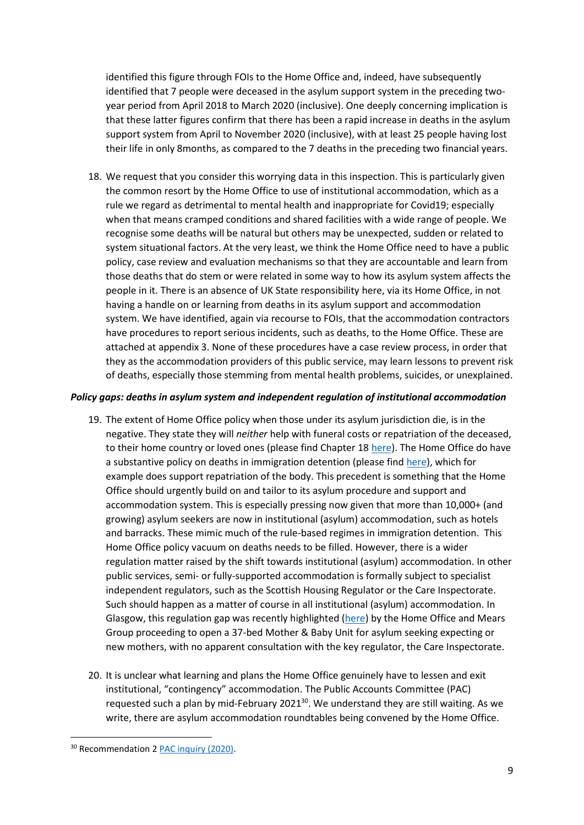identified this figure through FOIs to the Home Office and, indeed, have subsequently identified that 7 people were deceased in the asylum support system in the preceding twoyear period from April 2018 to March 2020 (inclusive). One deeply concerning implication is that these latter figures confirm that there has been a rapid increase in deaths in the asylum support system from April to November 2020 (inclusive), with at least 25 people having lost their life in only 8months, as compared to the 7 deaths in the preceding two financial years.

18. We request that you consider this worrying data in this inspection. This is particularly given the common resort by the Home Office to use of institutional accommodation, which as a rule we regard as detrimental to mental health and inappropriate for Covid19; especially when that means cramped conditions and shared facilities with a wide range of people. We recognise some deaths will be natural but others may be unexpected, sudden or related to system situational factors. At the very least, we think the Home Office need to have a public policy, case review and evaluation mechanisms so that they are accountable and learn from those deaths that do stem or were related in some way to how its asylum system affects the people in it. There is an absence of UK State responsibility here, via its Home Office, in not having a handle on or learning from deaths in its asylum support and accommodation system. We have identified, again via recourse to FOIs, that the accommodation contractors have procedures to report serious incidents, such as deaths, to the Home Office. These are attached at appendix 3. None of these procedures have a case review process, in order that they as the accommodation providers of this public service, may learn lessons to prevent risk of deaths, especially those stemming from mental health problems, suicides, or unexplained.

### *Policy gaps: deaths in asylum system and independent regulation of institutional accommodation*

- 19. The extent of Home Office policy when those under its asylum jurisdiction die, is in the negative. They state they will *neither* help with funeral costs or repatriation of the deceased, to their home country or loved ones (please find Chapter 1[8 here\)](https://eur01.safelinks.protection.outlook.com/?url=https%3A%2F%2Fassets.publishing.service.gov.uk%2Fgovernment%2Fuploads%2Fsystem%2Fuploads%2Fattachment_data%2Ffile%2F817696%2Fasylum-support-policy-bulletins-v8.0.pdf&data=04%7C01%7Cdavid.bolt%40icibi.gov.uk%7Cdbe189bb7a164e888ee808d8a22bd997%7Cf24d93ecb2914192a08af182245945c2%7C0%7C0%7C637437657747182888%7CUnknown%7CTWFpbGZsb3d8eyJWIjoiMC4wLjAwMDAiLCJQIjoiV2luMzIiLCJBTiI6Ik1haWwiLCJXVCI6Mn0%3D%7C1000&sdata=eVdcGKo4xQudmXaQZdstxprH5l0fd0PkG9umzcHXqeM%3D&reserved=0). The Home Office do have a substantive policy on deaths in immigration detention (please find [here\)](https://eur01.safelinks.protection.outlook.com/?url=https%3A%2F%2Fassets.publishing.service.gov.uk%2Fgovernment%2Fuploads%2Fsystem%2Fuploads%2Fattachment_data%2Ffile%2F909328%2FDSO_08_2014__Death_in_Detention__v6.pdf&data=04%7C01%7Cdavid.bolt%40icibi.gov.uk%7Cdbe189bb7a164e888ee808d8a22bd997%7Cf24d93ecb2914192a08af182245945c2%7C0%7C0%7C637437657747182888%7CUnknown%7CTWFpbGZsb3d8eyJWIjoiMC4wLjAwMDAiLCJQIjoiV2luMzIiLCJBTiI6Ik1haWwiLCJXVCI6Mn0%3D%7C1000&sdata=AX6CEblASv3cY1Yc9xMC7GkXD4pTMN8F4MeTXNf%2FI4U%3D&reserved=0), which for example does support repatriation of the body. This precedent is something that the Home Office should urgently build on and tailor to its asylum procedure and support and accommodation system. This is especially pressing now given that more than 10,000+ (and growing) asylum seekers are now in institutional (asylum) accommodation, such as hotels and barracks. These mimic much of the rule-based regimes in immigration detention. This Home Office policy vacuum on deaths needs to be filled. However, there is a wider regulation matter raised by the shift towards institutional (asylum) accommodation. In other public services, semi- or fully-supported accommodation is formally subject to specialist independent regulators, such as the Scottish Housing Regulator or the Care Inspectorate. Such should happen as a matter of course in all institutional (asylum) accommodation. In Glasgow, this regulation gap was recently highlighted [\(here\)](https://theferret.scot/concern-raised-over-asylum-unit-for-mums-and-babies/) by the Home Office and Mears Group proceeding to open a 37-bed Mother & Baby Unit for asylum seeking expecting or new mothers, with no apparent consultation with the key regulator, the Care Inspectorate.
- 20. It is unclear what learning and plans the Home Office genuinely have to lessen and exit institutional, "contingency" accommodation. The Public Accounts Committee (PAC) requested such a plan by mid-February 2021<sup>30</sup>. We understand they are still waiting. As we write, there are asylum accommodation roundtables being convened by the Home Office.

<sup>&</sup>lt;sup>30</sup> Recommendation 2 [PAC inquiry \(2020\).](https://publications.parliament.uk/pa/cm5801/cmselect/cmpubacc/683/68305.htm#_idTextAnchor002)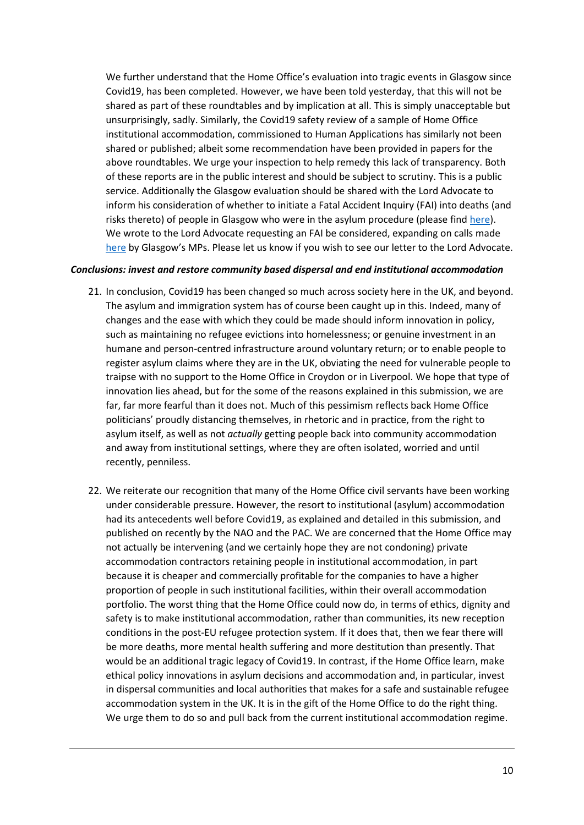We further understand that the Home Office's evaluation into tragic events in Glasgow since Covid19, has been completed. However, we have been told yesterday, that this will not be shared as part of these roundtables and by implication at all. This is simply unacceptable but unsurprisingly, sadly. Similarly, the Covid19 safety review of a sample of Home Office institutional accommodation, commissioned to Human Applications has similarly not been shared or published; albeit some recommendation have been provided in papers for the above roundtables. We urge your inspection to help remedy this lack of transparency. Both of these reports are in the public interest and should be subject to scrutiny. This is a public service. Additionally the Glasgow evaluation should be shared with the Lord Advocate to inform his consideration of whether to initiate a Fatal Accident Inquiry (FAI) into deaths (and risks thereto) of people in Glasgow who were in the asylum procedure (please find [here\)](https://eur01.safelinks.protection.outlook.com/?url=https%3A%2F%2Fhansard.parliament.uk%2Fcommons%2F2020-09-28%2Fdebates%2F0CC85578-10C1-4DB2-B456-BDF0EC08A947%2FAsylumAccommodationCovid-19&data=04%7C01%7Cdavid.bolt%40icibi.gov.uk%7Cdbe189bb7a164e888ee808d8a22bd997%7Cf24d93ecb2914192a08af182245945c2%7C0%7C0%7C637437657747192847%7CUnknown%7CTWFpbGZsb3d8eyJWIjoiMC4wLjAwMDAiLCJQIjoiV2luMzIiLCJBTiI6Ik1haWwiLCJXVCI6Mn0%3D%7C1000&sdata=Lz2xGWdCx99xUri7Tn8tNuRusUyl2ZSuLQ5QsNLmows%3D&reserved=0). We wrote to the Lord Advocate requesting an FAI be considered, expanding on calls made [here](https://eur01.safelinks.protection.outlook.com/?url=https%3A%2F%2Ftwitter.com%2FChrisStephens%2Fstatus%2F1307988454496784385%2Fphoto%2F1&data=04%7C01%7Cdavid.bolt%40icibi.gov.uk%7Cdbe189bb7a164e888ee808d8a22bd997%7Cf24d93ecb2914192a08af182245945c2%7C0%7C0%7C637437657747192847%7CUnknown%7CTWFpbGZsb3d8eyJWIjoiMC4wLjAwMDAiLCJQIjoiV2luMzIiLCJBTiI6Ik1haWwiLCJXVCI6Mn0%3D%7C1000&sdata=R20N6Vvl9%2BCeMia%2FeVdBz%2FBWnrsa9K%2Fq3mohdUF5isM%3D&reserved=0) by Glasgow's MPs. Please let us know if you wish to see our letter to the Lord Advocate.

## *Conclusions: invest and restore community based dispersal and end institutional accommodation*

- 21. In conclusion, Covid19 has been changed so much across society here in the UK, and beyond. The asylum and immigration system has of course been caught up in this. Indeed, many of changes and the ease with which they could be made should inform innovation in policy, such as maintaining no refugee evictions into homelessness; or genuine investment in an humane and person-centred infrastructure around voluntary return; or to enable people to register asylum claims where they are in the UK, obviating the need for vulnerable people to traipse with no support to the Home Office in Croydon or in Liverpool. We hope that type of innovation lies ahead, but for the some of the reasons explained in this submission, we are far, far more fearful than it does not. Much of this pessimism reflects back Home Office politicians' proudly distancing themselves, in rhetoric and in practice, from the right to asylum itself, as well as not *actually* getting people back into community accommodation and away from institutional settings, where they are often isolated, worried and until recently, penniless.
- 22. We reiterate our recognition that many of the Home Office civil servants have been working under considerable pressure. However, the resort to institutional (asylum) accommodation had its antecedents well before Covid19, as explained and detailed in this submission, and published on recently by the NAO and the PAC. We are concerned that the Home Office may not actually be intervening (and we certainly hope they are not condoning) private accommodation contractors retaining people in institutional accommodation, in part because it is cheaper and commercially profitable for the companies to have a higher proportion of people in such institutional facilities, within their overall accommodation portfolio. The worst thing that the Home Office could now do, in terms of ethics, dignity and safety is to make institutional accommodation, rather than communities, its new reception conditions in the post-EU refugee protection system. If it does that, then we fear there will be more deaths, more mental health suffering and more destitution than presently. That would be an additional tragic legacy of Covid19. In contrast, if the Home Office learn, make ethical policy innovations in asylum decisions and accommodation and, in particular, invest in dispersal communities and local authorities that makes for a safe and sustainable refugee accommodation system in the UK. It is in the gift of the Home Office to do the right thing. We urge them to do so and pull back from the current institutional accommodation regime.